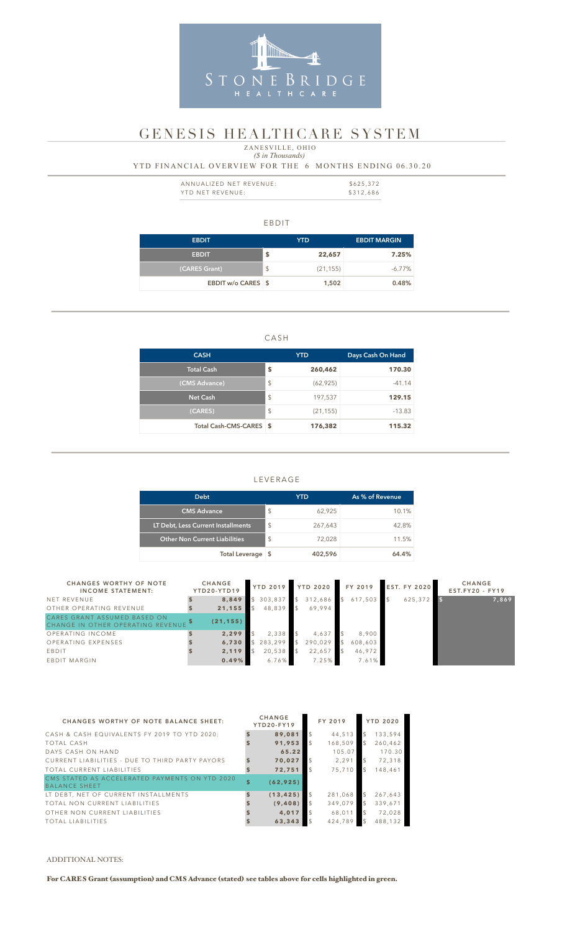#### EBDIT

| <b>EBDIT</b>       | YTD             | <b>EBDIT MARGIN</b> |
|--------------------|-----------------|---------------------|
| <b>EBDIT</b>       | \$<br>22,657    | 7.25%               |
| (CARES Grant)      | \$<br>(21, 155) | $-6.77\%$           |
| EBDIT w/o CARES \$ | 1,502           | 0.48%               |

#### CASH

| <b>CASH</b>             |                         | <b>YTD</b> | Days Cash On Hand |
|-------------------------|-------------------------|------------|-------------------|
| <b>Total Cash</b>       | S                       | 260,462    | 170.30            |
| (CMS Advance)           | $\sqrt[6]{\frac{1}{2}}$ | (62, 925)  | $-41.14$          |
| <b>Net Cash</b>         | $\sqrt[6]{\frac{1}{2}}$ | 197,537    | 129.15            |
| (CARES)                 | $\sqrt[6]{\frac{1}{2}}$ | (21, 155)  | $-13.83$          |
| Total Cash-CMS-CARES \$ |                         | 176,382    | 115.32            |

| ANNUALIZED NET REVENUE: | \$625,372 |
|-------------------------|-----------|
| YTD NET REVENUE:        | \$312,686 |

#### LEVERAGE

## *(\$ in Thousands)* YTD FINANCIAL OVERVIEW FOR THE 6 MONTHS ENDING 06.30.20 ZANESVILLE, OHIO

| <b>Debt</b>                          |                         | YTD     | As % of Revenue |
|--------------------------------------|-------------------------|---------|-----------------|
| <b>CMS Advance</b>                   | $\sqrt[6]{\frac{1}{2}}$ | 62,925  | 10.1%           |
| LT Debt, Less Current Installments   | S                       | 267,643 | 42.8%           |
| <b>Other Non Current Liabilities</b> | $\mathfrak{S}$          | 72,028  | 11.5%           |
| Total Leverage \$                    |                         | 402,596 | 64.4%           |



# GENESIS HEALTHCARE SYSTEM

| <b>CHANGES WORTHY OF NOTE</b><br><b>INCOME STATEMENT:</b>         | <b>CHANGE</b><br>YTD20-YTD19 | <b>YTD 2019</b> | <b>YTD 2020</b> |               | FY 2019 | <b>EST. FY 2020</b> | <b>CHANGE</b><br>$EST.FY20 - FY19$ |
|-------------------------------------------------------------------|------------------------------|-----------------|-----------------|---------------|---------|---------------------|------------------------------------|
| NET REVENUE                                                       | 8,849                        | 303,837         | 312,686         | $\mathcal{S}$ | 617,503 | 625,372             | 7,869                              |
| OTHER OPERATING REVENUE                                           | 21,155                       | 48,839          | 69.994          |               |         |                     |                                    |
| CARES GRANT ASSUMED BASED ON<br>CHANGE IN OTHER OPERATING REVENUE | (21, 155)                    |                 |                 |               |         |                     |                                    |
| OPERATING INCOME                                                  | 2,299                        | 2,338           | 4,637           |               | 8,900   |                     |                                    |
| OPERATING EXPENSES                                                | 6,730                        | 283,299         | 290,029         |               | 608,603 |                     |                                    |
| EBDIT                                                             | 2,119                        | 20,538          | 22,657          |               | 46,972  |                     |                                    |
| EBDIT MARGIN                                                      | 0.49%                        | 6.76%           | 7.25%           |               | 7.61%   |                     |                                    |

| <b>CHANGES WORTHY OF NOTE BALANCE SHEET:</b>                           |              | <b>CHANGE</b><br>YTD20-FY19 | FY 2019 |                | <b>YTD 2020</b> |
|------------------------------------------------------------------------|--------------|-----------------------------|---------|----------------|-----------------|
| CASH & CASH EQUIVALENTS FY 2019 TO YTD 2020:                           |              | 89,081                      | 44,513  | \$             | 133,594         |
| TOTAL CASH                                                             |              | 91.953                      | 168.509 | $\mathcal{L}$  | 260.462         |
| DAYS CASH ON HAND                                                      |              | 65.22                       | 105.07  |                | 170.30          |
| CURRENT LIABILITIES - DUE TO THIRD PARTY PAYORS                        |              | 70.027                      | 2,291   | $\mathfrak{L}$ | 72,318          |
| TOTAL CURRENT LIABILITIES                                              |              | 72.751                      | 75.710  | $\mathcal{S}$  | 148,461         |
| CMS STATED AS ACCELERATED PAYMENTS ON YTD 2020<br><b>BALANCE SHEET</b> | $\mathbf{s}$ | (62, 925)                   |         |                |                 |
| LT DEBT, NET OF CURRENT INSTALLMENTS                                   |              | (13, 425)                   | 281,068 | $\mathfrak{L}$ | 267,643         |
| TOTAL NON CURRENT LIABILITIES                                          |              | (9, 408)                    | 349,079 | \$             | 339,671         |
| OTHER NON CURRENT LIABILITIES                                          |              | 4,017                       | 68,011  | \$             | 72,028          |
| <b>TOTAL LIABILITIES</b>                                               |              | 63,343                      | 424.789 | $\mathcal{S}$  | 488.132         |

#### ADDITIONAL NOTES:

For CARES Grant (assumption) and CMS Advance (stated) see tables above for cells highlighted in green.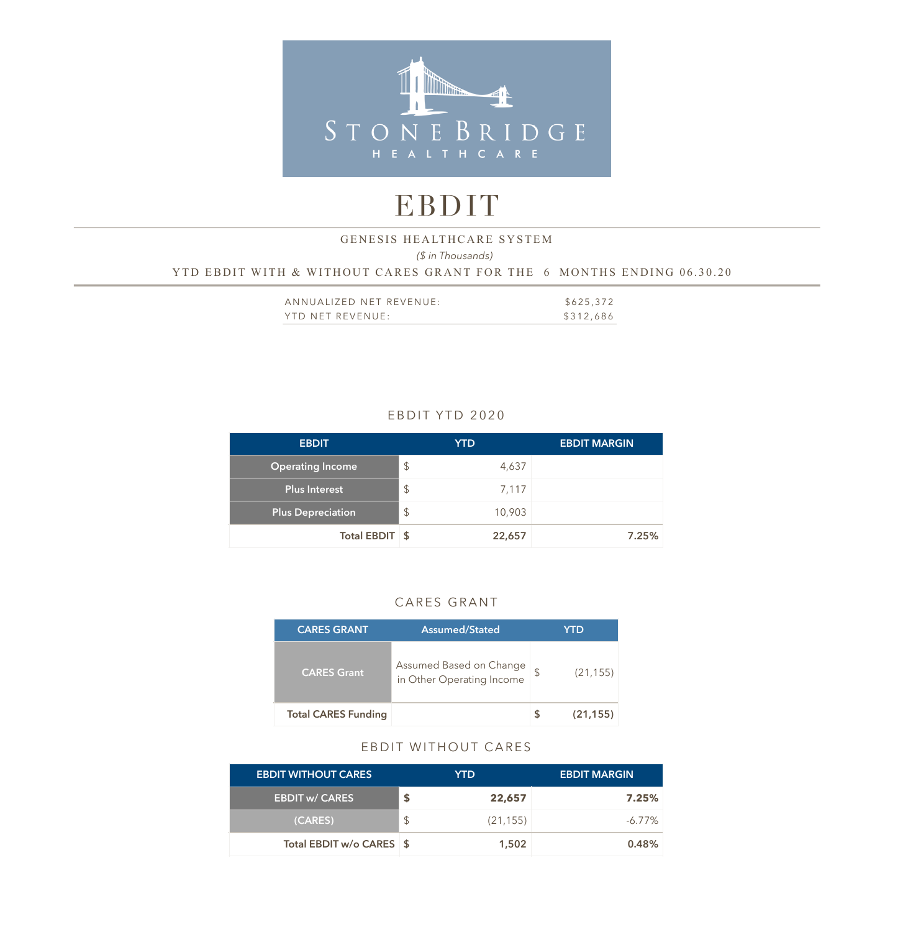

# EBDIT

## *(\$ in Thousands)*  YTD EBDIT WITH & WITHOUT CARES GRANT FOR THE 6 MONTHS ENDING 06.30.20 GENESIS HEALTHCARE SYSTEM

| ANNUALIZED NET REVENUE: | \$625,372 |
|-------------------------|-----------|
| YTD NET REVENUE:        | \$312,686 |

## EBDIT YTD 2020

| <b>EBDIT</b>             | <b>YTD</b>              |        | <b>EBDIT MARGIN</b> |
|--------------------------|-------------------------|--------|---------------------|
| <b>Operating Income</b>  | $\mathcal{L}$           | 4,637  |                     |
| Plus Interest            | $\sqrt[6]{\frac{1}{2}}$ | 7,117  |                     |
| <b>Plus Depreciation</b> | $\sqrt[6]{\frac{1}{2}}$ | 10,903 |                     |
| Total EBDIT \$           |                         | 22,657 | 7.25%               |

## CARES GRANT

| <b>CARES GRANT</b>         | Assumed/Stated                                       | YTD       |
|----------------------------|------------------------------------------------------|-----------|
| <b>CARES Grant</b>         | Assumed Based on Change<br>in Other Operating Income | (21, 155) |
| <b>Total CARES Funding</b> |                                                      | (21, 155) |

#### EBDIT WITHOUT CARES

| <b>EBDIT WITHOUT CARES</b> | YTD.      | <b>EBDIT MARGIN</b> |
|----------------------------|-----------|---------------------|
| <b>EBDIT w/ CARES</b>      | 22,657    | 7.25%               |
| (CARES)                    | (21, 155) | $-6.77\%$           |
| Total EBDIT w/o CARES \\$  | 1,502     | 0.48%               |